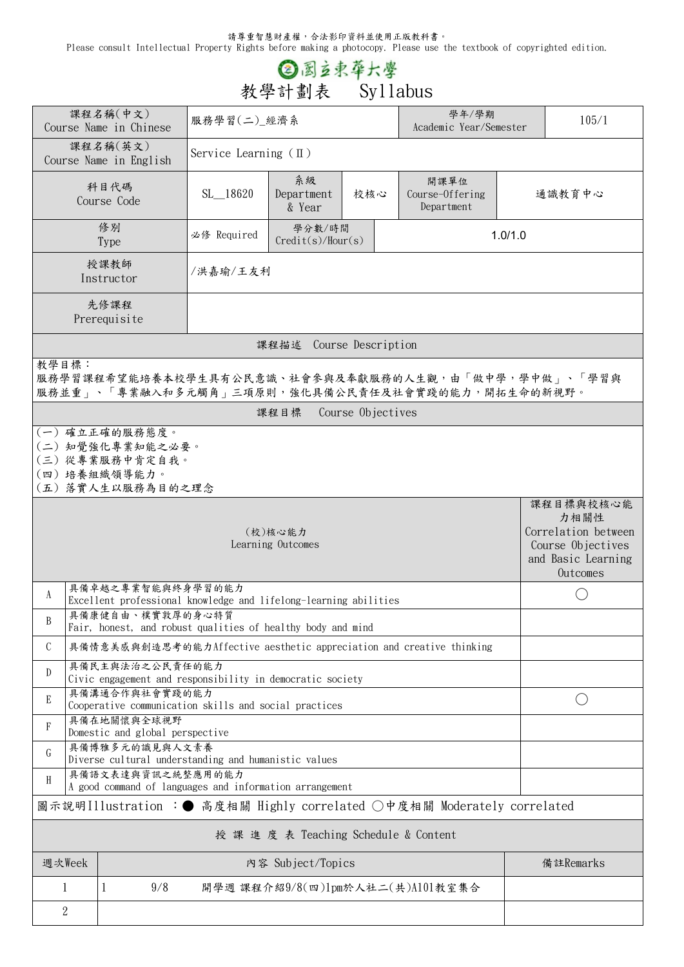請尊重智慧財產權,合法影印資料並使用正版教科書。

Please consult Intellectual Property Rights before making a photocopy. Please use the textbook of copyrighted edition.

## **③图立束草六學**<br>教學計劃表 Syllabus

|                                                                                                                  | 課程名稱(中文)<br>Course Name in Chinese                                           | 服務學習(二) 經濟系                     |                             |     | 學年/學期                                 | 105/1<br>Academic Year/Semester |                                                                                                 |  |  |  |
|------------------------------------------------------------------------------------------------------------------|------------------------------------------------------------------------------|---------------------------------|-----------------------------|-----|---------------------------------------|---------------------------------|-------------------------------------------------------------------------------------------------|--|--|--|
|                                                                                                                  | 課程名稱(英文)<br>Course Name in English                                           | Service Learning $(\mathbb{I})$ |                             |     |                                       |                                 |                                                                                                 |  |  |  |
|                                                                                                                  | 科目代碼<br>Course Code                                                          | SL_18620                        | 系級<br>Department<br>& Year  | 校核心 | 開課單位<br>Course-Offering<br>Department |                                 | 通識教育中心                                                                                          |  |  |  |
|                                                                                                                  | 修別<br><b>Type</b>                                                            | 必修 Required                     | 學分數/時間<br>Credit(s)/Hour(s) |     |                                       | 1.0/1.0                         |                                                                                                 |  |  |  |
|                                                                                                                  | 授課教師<br>Instructor                                                           | /洪嘉瑜/王友利                        |                             |     |                                       |                                 |                                                                                                 |  |  |  |
|                                                                                                                  | 先修課程<br>Prerequisite                                                         |                                 |                             |     |                                       |                                 |                                                                                                 |  |  |  |
|                                                                                                                  | 課程描述 Course Description                                                      |                                 |                             |     |                                       |                                 |                                                                                                 |  |  |  |
| 教學目標:<br>服務學習課程希望能培養本校學生具有公民意識、社會參與及奉獻服務的人生觀,由「做中學,學中做」、「學習與<br>服務並重」、「專業融入和多元觸角」三項原則,強化具備公民責任及社會實踐的能力,開拓生命的新視野。 |                                                                              |                                 |                             |     |                                       |                                 |                                                                                                 |  |  |  |
|                                                                                                                  | 課程目標 Course Objectives                                                       |                                 |                             |     |                                       |                                 |                                                                                                 |  |  |  |
| (一) 確立正確的服務態度。<br>(二) 知覺強化專業知能之必要。<br>(三)從專業服務中肯定自我。<br>(四) 培養組織領導能力。<br>(五) 落實人生以服務為目的之理念                       |                                                                              |                                 |                             |     |                                       |                                 |                                                                                                 |  |  |  |
| (校)核心能力<br>Learning Outcomes                                                                                     |                                                                              |                                 |                             |     |                                       |                                 | 課程目標與校核心能<br>力相關性<br>Correlation between<br>Course Objectives<br>and Basic Learning<br>Outcomes |  |  |  |
| 具備卓越之專業智能與終身學習的能力<br>A<br>Excellent professional knowledge and lifelong-learning abilities                       |                                                                              |                                 |                             |     |                                       |                                 |                                                                                                 |  |  |  |
| 具備康健自由、樸實敦厚的身心特質<br>B<br>Fair, honest, and robust qualities of healthy body and mind                             |                                                                              |                                 |                             |     |                                       |                                 |                                                                                                 |  |  |  |
| C<br>具備情意美感與創造思考的能力Affective aesthetic appreciation and creative thinking                                        |                                                                              |                                 |                             |     |                                       |                                 |                                                                                                 |  |  |  |
| 具備民主與法治之公民責任的能力<br>D<br>Civic engagement and responsibility in democratic society                                |                                                                              |                                 |                             |     |                                       |                                 |                                                                                                 |  |  |  |
| 具備溝通合作與社會實踐的能力<br>E<br>$($ )<br>Cooperative communication skills and social practices                            |                                                                              |                                 |                             |     |                                       |                                 |                                                                                                 |  |  |  |
| 具備在地關懷與全球視野<br>F<br>Domestic and global perspective                                                              |                                                                              |                                 |                             |     |                                       |                                 |                                                                                                 |  |  |  |
| G                                                                                                                | 具備博雅多元的識見與人文素養<br>Diverse cultural understanding and humanistic values       |                                 |                             |     |                                       |                                 |                                                                                                 |  |  |  |
| H                                                                                                                | 具備語文表達與資訊之統整應用的能力<br>A good command of languages and information arrangement |                                 |                             |     |                                       |                                 |                                                                                                 |  |  |  |
| 圖示說明Illustration :● 高度相關 Highly correlated ○中度相關 Moderately correlated                                           |                                                                              |                                 |                             |     |                                       |                                 |                                                                                                 |  |  |  |
| 授 課 進 度 表 Teaching Schedule & Content                                                                            |                                                                              |                                 |                             |     |                                       |                                 |                                                                                                 |  |  |  |
| 週次Week                                                                                                           |                                                                              | 内容 Subject/Topics               |                             |     |                                       |                                 | 備註Remarks                                                                                       |  |  |  |
| 1                                                                                                                | 1<br>9/8                                                                     |                                 |                             |     | 開學週 課程介紹9/8(四)1pm於人社二(共)A101教室集合      |                                 |                                                                                                 |  |  |  |
| $\overline{2}$                                                                                                   |                                                                              |                                 |                             |     |                                       |                                 |                                                                                                 |  |  |  |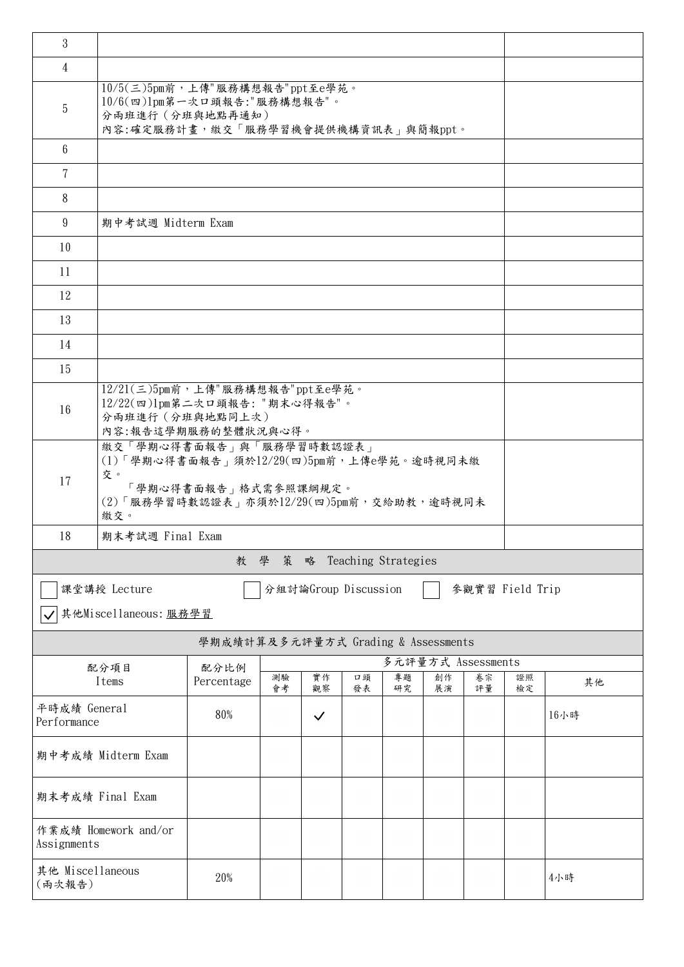| 3                                       |                                                                                                                                                          |                                     |          |                      |          |                    |          |                 |          |      |
|-----------------------------------------|----------------------------------------------------------------------------------------------------------------------------------------------------------|-------------------------------------|----------|----------------------|----------|--------------------|----------|-----------------|----------|------|
| 4                                       |                                                                                                                                                          |                                     |          |                      |          |                    |          |                 |          |      |
| $\overline{5}$                          | $10/5$ (三) $5$ pm前,上傳"服務構想報告"ppt至e學苑。<br>$10/6$ (四) $1$ pm第一次口頭報告: "服務構想報告"。<br>分兩班進行 (分班與地點再通知)<br>內容:確定服務計畫,繳交「服務學習機會提供機構資訊表」與簡報ppt。                   |                                     |          |                      |          |                    |          |                 |          |      |
| $6\phantom{.}$                          |                                                                                                                                                          |                                     |          |                      |          |                    |          |                 |          |      |
| $\overline{7}$                          |                                                                                                                                                          |                                     |          |                      |          |                    |          |                 |          |      |
| 8                                       |                                                                                                                                                          |                                     |          |                      |          |                    |          |                 |          |      |
| 9                                       | 期中考試週 Midterm Exam                                                                                                                                       |                                     |          |                      |          |                    |          |                 |          |      |
| 10                                      |                                                                                                                                                          |                                     |          |                      |          |                    |          |                 |          |      |
| 11                                      |                                                                                                                                                          |                                     |          |                      |          |                    |          |                 |          |      |
| 12                                      |                                                                                                                                                          |                                     |          |                      |          |                    |          |                 |          |      |
| 13                                      |                                                                                                                                                          |                                     |          |                      |          |                    |          |                 |          |      |
| 14                                      |                                                                                                                                                          |                                     |          |                      |          |                    |          |                 |          |      |
| 15                                      |                                                                                                                                                          |                                     |          |                      |          |                    |          |                 |          |      |
| 16                                      | $12/21(\equiv)5$ pm前,上傳"服務構想報告"ppt至e學苑。<br>12/22(四)1pm第二次口頭報告: "期末心得報告"。<br>分兩班進行 (分班與地點同上次)<br>內容:報告這學期服務的整體狀況與心得。                                      |                                     |          |                      |          |                    |          |                 |          |      |
| 17                                      | 繳交「學期心得書面報告」與「服務學習時數認證表」<br>$(1)$ 「學期心得書面報告」須於12/29(四)5pm前,上傳e學苑。逾時視同未繳<br>交。<br>「學期心得書面報告」格式需參照課綱規定。<br>(2)「服務學習時數認證表」亦須於12/29(四)5pm前,交給助教,逾時視同未<br>繳交。 |                                     |          |                      |          |                    |          |                 |          |      |
| 18                                      | 期末考試週 Final Exam                                                                                                                                         |                                     |          |                      |          |                    |          |                 |          |      |
| Teaching Strategies<br>教<br>學<br>策<br>略 |                                                                                                                                                          |                                     |          |                      |          |                    |          |                 |          |      |
|                                         | 課堂講授 Lecture                                                                                                                                             |                                     |          | 分組討論Group Discussion |          |                    |          | 參觀實習 Field Trip |          |      |
|                                         | 其他Miscellaneous: 服務學習                                                                                                                                    |                                     |          |                      |          |                    |          |                 |          |      |
|                                         |                                                                                                                                                          | 學期成績計算及多元評量方式 Grading & Assessments |          |                      |          |                    |          |                 |          |      |
|                                         | 配分項目                                                                                                                                                     | 配分比例                                |          |                      |          | 多元評量方式 Assessments |          |                 |          |      |
|                                         | Items                                                                                                                                                    | Percentage                          | 測驗<br>會考 | 實作<br>觀察             | 口頭<br>發表 | 專題<br>研究           | 創作<br>展演 | 卷宗<br>評量        | 證照<br>檢定 | 其他   |
| 平時成績 General<br>Performance             |                                                                                                                                                          | 80%                                 |          | $\checkmark$         |          |                    |          |                 |          | 16小時 |
|                                         | 期中考成績 Midterm Exam                                                                                                                                       |                                     |          |                      |          |                    |          |                 |          |      |
| 期末考成績 Final Exam                        |                                                                                                                                                          |                                     |          |                      |          |                    |          |                 |          |      |
| 作業成績 Homework and/or<br>Assignments     |                                                                                                                                                          |                                     |          |                      |          |                    |          |                 |          |      |
| 其他 Miscellaneous<br>(兩次報告)              |                                                                                                                                                          | 20%                                 |          |                      |          |                    |          |                 |          | 4小時  |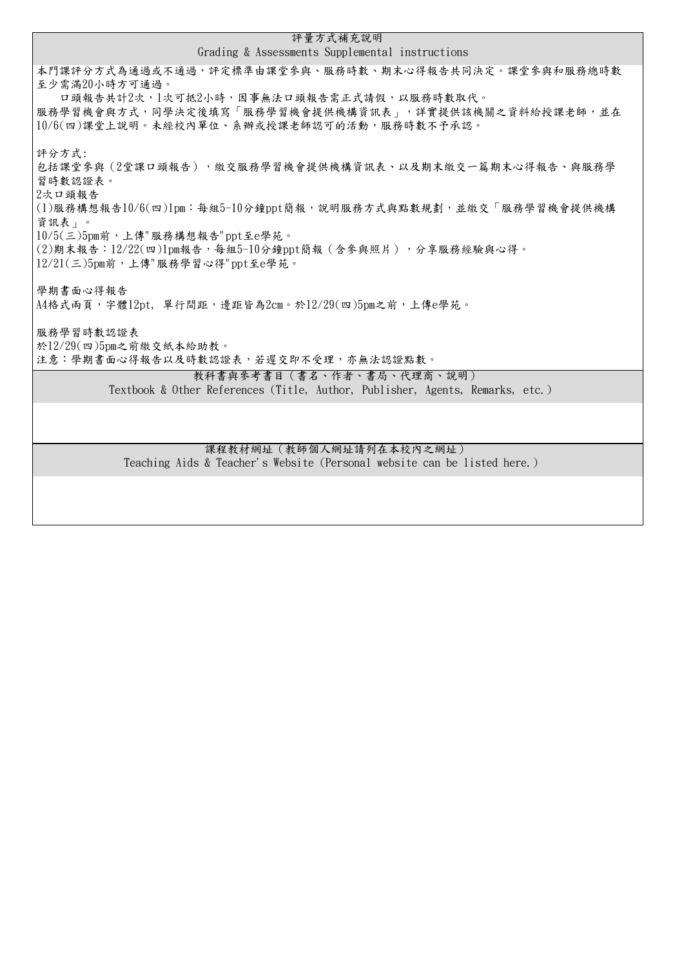| 評量方式補充說明                                                                                       |  |  |  |  |  |
|------------------------------------------------------------------------------------------------|--|--|--|--|--|
| Grading & Assessments Supplemental instructions                                                |  |  |  |  |  |
| 本門課評分方式為通過或不通過,評定標準由課堂參與、服務時數、期末心得報告共同決定。課堂參與和服務總時數<br>至少需滿20小時方可通過。                           |  |  |  |  |  |
| 口頭報告共計2次,1次可抵2小時,因事無法口頭報告需正式請假,以服務時數取代。                                                        |  |  |  |  |  |
| 服務學習機會與方式,同學決定後填寫「服務學習機會提供機構資訊表」,詳實提供該機關之資料給授課老師,並在                                            |  |  |  |  |  |
| 10/6(四)課堂上說明。未經校內單位、系辦或授課老師認可的活動,服務時數不予承認。                                                     |  |  |  |  |  |
| 評分方式:                                                                                          |  |  |  |  |  |
| 包括課堂參與(2堂課口頭報告),繳交服務學習機會提供機構資訊表、以及期末繳交一篇期末心得報告、與服務學                                            |  |  |  |  |  |
| 習時數認證表。<br>2次口頭報告                                                                              |  |  |  |  |  |
| (1)服務構想報告10/6(四)1pm:每組5-10分鐘ppt簡報,說明服務方式與點數規劃,並繳交「服務學習機會提供機構                                   |  |  |  |  |  |
| 資訊表」。                                                                                          |  |  |  |  |  |
| $10/5($ 三) $5$ pm前,上傳"服務構想報告"ppt至e學苑。<br>(2)期末報告:12/22(四)1pm報告,每組5-10分鐘ppt簡報(含參與照片),分享服務經驗與心得。 |  |  |  |  |  |
| $12/21(\equiv)5$ pm前,上傳"服務學習心得"ppt至e學苑。                                                        |  |  |  |  |  |
|                                                                                                |  |  |  |  |  |
| 學期書面心得報告<br>A4格式兩頁,字體12pt,單行間距,邊距皆為2cm。於12/29(四)5pm之前,上傳e學苑。                                   |  |  |  |  |  |
|                                                                                                |  |  |  |  |  |
| 服務學習時數認證表                                                                                      |  |  |  |  |  |
| 於12/29(四)5pm之前繳交紙本給助教。<br>注意:學期書面心得報告以及時數認證表,若遲交即不受理,亦無法認證點數。                                  |  |  |  |  |  |
| 教科書與參考書目(書名、作者、書局、代理商、說明)                                                                      |  |  |  |  |  |
| Textbook & Other References (Title, Author, Publisher, Agents, Remarks, etc.)                  |  |  |  |  |  |
|                                                                                                |  |  |  |  |  |
|                                                                                                |  |  |  |  |  |
| 課程教材網址 (教師個人網址請列在本校內之網址)                                                                       |  |  |  |  |  |

**Teaching Aids & Teacher's Website (Personal website can be listed here.)**